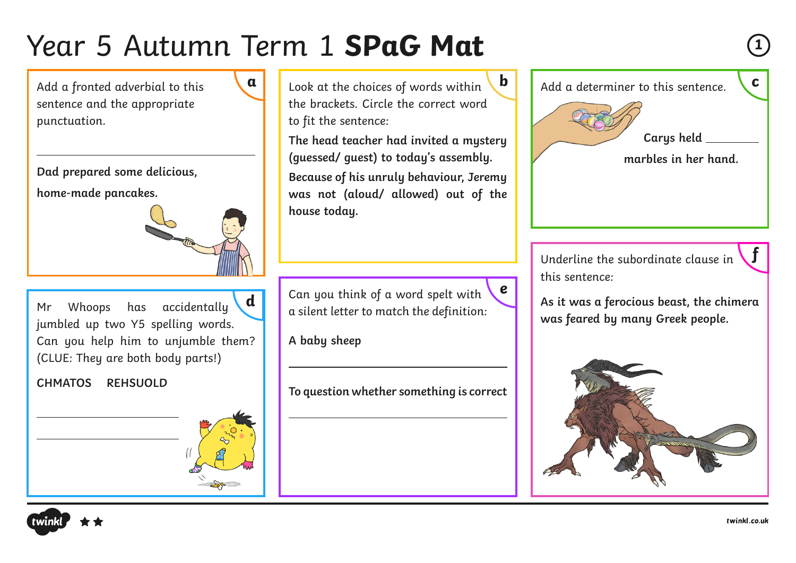**a**

Add a fronted adverbial to this sentence and the appropriate punctuation.

**Dad prepared some delicious,** 

**home-made pancakes.** 



Mr Whoops has accidentally jumbled up two Y5 spelling words. Can you help him to unjumble them? (CLUE: They are both body parts!) **d**

**CHMATOS REHSUOLD**



Look at the choices of words within the brackets. Circle the correct word to fit the sentence:

**The head teacher had invited a mystery (guessed/ guest) to today's assembly. Because of his unruly behaviour, Jeremy was not (aloud/ allowed) out of the house today.**

Can you think of a word spelt with a silent letter to match the definition:

**A baby sheep**

**To question whether something is correct** 



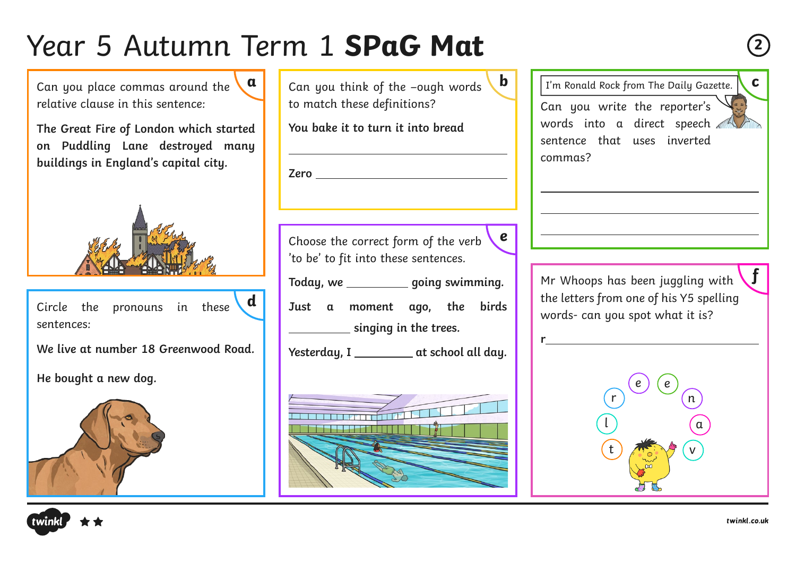Can you place commas around the relative clause in this sentence: **a**

**The Great Fire of London which started on Puddling Lane destroyed many buildings in England's capital city.**



Circle the pronouns in these sentences: **d**

**We live at number 18 Greenwood Road.**

**He bought a new dog.**



| Can you think of the –ough words $\setminus$ <b>b</b> |  |
|-------------------------------------------------------|--|
| to match these definitions?                           |  |

**You bake it to turn it into bread**

Choose the correct form of the verb 'to be' to fit into these sentences. **e**

**Zero** 

Today, we same **going swimming**.

**Just a moment ago, the birds**

**EXECUTE:** singing in the trees.

Yesterday, I \_\_\_\_\_\_\_\_\_\_ at school all day.



Can you write the reporter's words into a direct speech sentence that uses inverted commas? **b**  $\boxed{\phantom{a}}$   $\boxed{\phantom{a}}$   $\boxed{\phantom{a}}$   $\boxed{\phantom{a}}$   $\boxed{\phantom{a}}$   $\boxed{\phantom{a}}$   $\boxed{\phantom{a}}$   $\boxed{\phantom{a}}$   $\boxed{\phantom{a}}$   $\boxed{\phantom{a}}$   $\boxed{\phantom{a}}$   $\boxed{\phantom{a}}$   $\boxed{\phantom{a}}$   $\boxed{\phantom{a}}$   $\boxed{\phantom{a}}$   $\boxed{\phantom{a}}$   $\boxed{\phantom{a}}$   $\boxed{\phantom{a}}$   $\boxed{\phantom{a}}$   $\boxed{\phantom{a}}$ 

> Mr Whoops has been juggling with the letters from one of his Y5 spelling words- can you spot what it is?

**r**





**f**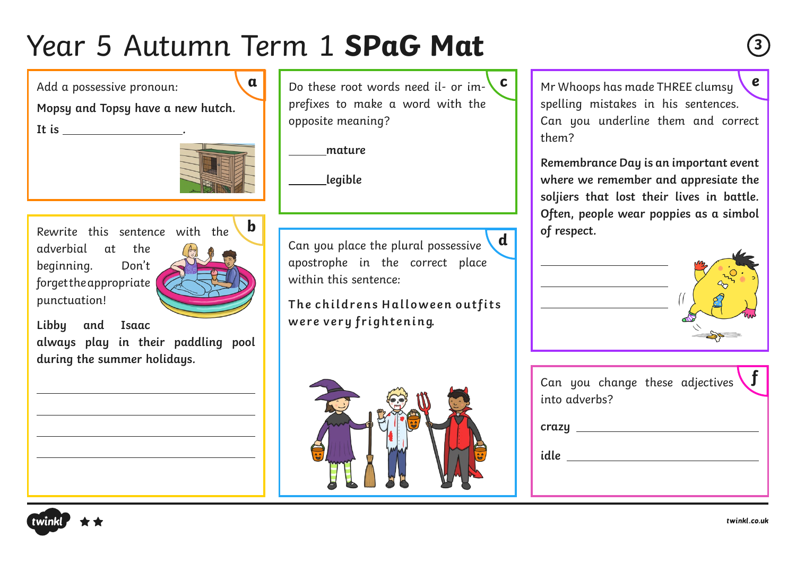**a**

Add a possessive pronoun:

**Mopsy and Topsy have a new hutch.** 

**It is .**



Rewrite this sentence with the  $\begin{bmatrix} \mathbf{D} \end{bmatrix}$   $\begin{bmatrix} \mathbf{D} \end{bmatrix}$  **c of respect.** adverbial at the beginning. Don't forget the appropriate punctuation!



**Libby and Isaac always play in their paddling pool during the summer holidays.**

Do these root words need il- or imprefixes to make a word with the opposite meaning? **c**

 **mature**

 **legible**

Can you place the plural possessive apostrophe in the correct place within this sentence: **d**

The childrens Halloween outfits were very frightening.



Mr Whoops has made THREE clumsy spelling mistakes in his sentences. Can you underline them and correct them? **e**

**Remembrance Day is an important event where we remember and appresiate the soljiers that lost their lives in battle. Often, people wear poppies as a simbol** 



| into adverbs? |  | Can you change these adjectives |  |
|---------------|--|---------------------------------|--|
| crazy         |  |                                 |  |
| idle          |  |                                 |  |
|               |  |                                 |  |

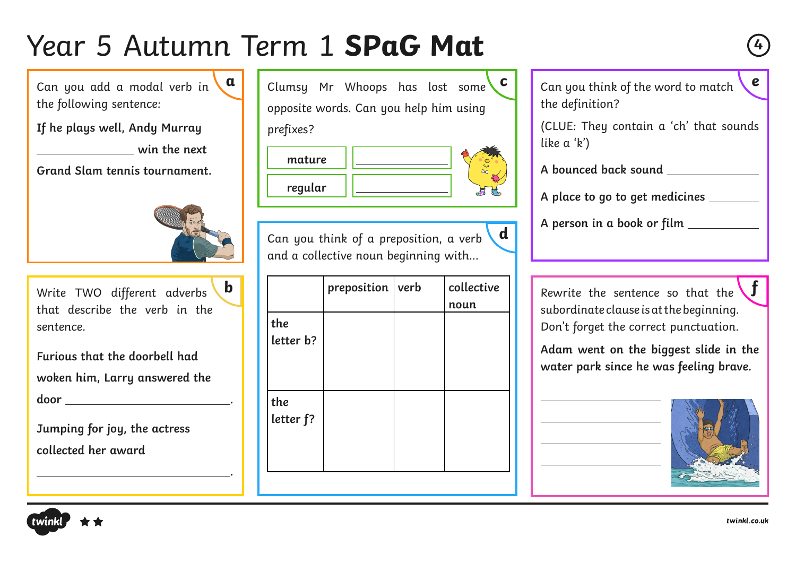Can you add a modal verb in the following sentence: **a**

**If he plays well, Andy Murray** 

*<u>win the next</u>* 

**Grand Slam tennis tournament.**



Write TWO different adverbs that describe the verb in the sentence.

**Furious that the doorbell had woken him, Larry answered the door .**

**Jumping for joy, the actress collected her award** 

 **.**

|           | Clumsy Mr Whoops has lost some C       |  |  |
|-----------|----------------------------------------|--|--|
|           | opposite words. Can you help him using |  |  |
| prefixes? |                                        |  |  |

| mature  |  |
|---------|--|
| regular |  |

Can you think of a preposition, a verb and a collective noun beginning with… **d**

| $\mathbf b$              |                  | preposition | verb | collective<br>noun | Rewrite the sentence so that the<br>subordinate clause is at the beginning.     |
|--------------------------|------------------|-------------|------|--------------------|---------------------------------------------------------------------------------|
|                          | the              |             |      |                    | Don't forget the correct punctuation.                                           |
|                          | letter b?        |             |      |                    | Adam went on the biggest slide in the<br>water park since he was feeling brave. |
| $\overline{\phantom{a}}$ | the<br>letter f? |             |      |                    |                                                                                 |
|                          |                  |             |      |                    |                                                                                 |

Can you think of the word to match the definition? **e**

(CLUE: They contain a 'ch' that sounds like a 'k')

**A bounced back sound** 

**A place to go to get medicines** 

**A person in a book or film** 



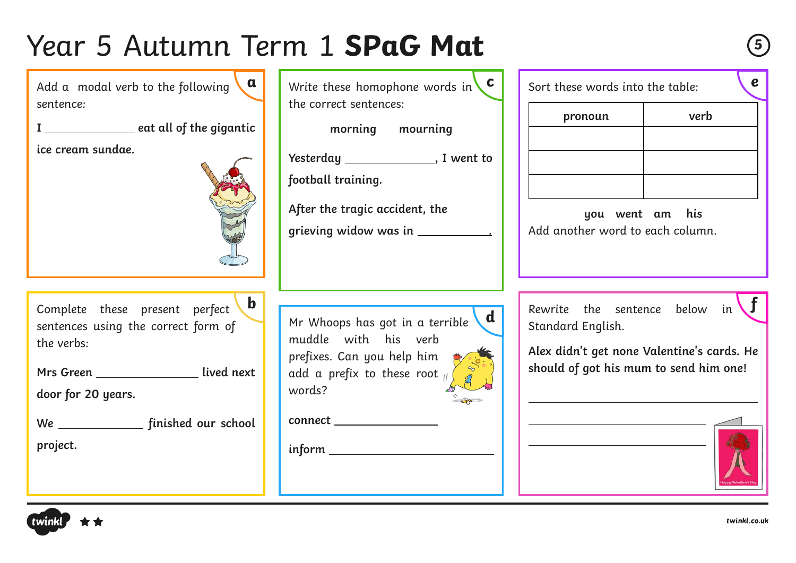Rewrite the sentence below in **b f** Standard English. **Alex didn't get none Valentine's cards. He should of got his mum to send him one!** Sort these words into the table: **you went am his**  Add another word to each column. Complete these present perfect sentences using the correct form of the verbs: Mrs Green \_\_\_\_\_\_\_\_\_\_\_\_\_\_\_\_\_ lived next **door for 20 years. We finished our school project.** Add a modal verb to the following sentence: **I** eat all of the gigantic **ice cream sundae.** Write these homophone words in **c**the correct sentences: **morning mourning Yesterday , I went to football training. After the tragic accident, the grieving widow was in .** Mr Whoops has got in a terrible muddle with his verb prefixes. Can you help him add a prefix to these root  $\mu$ words? **connect inform pronoun verb a d**



**e**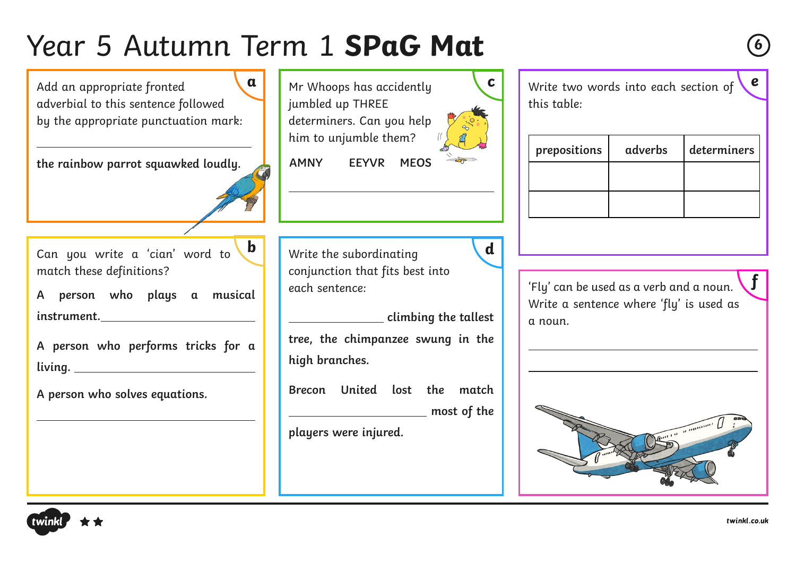

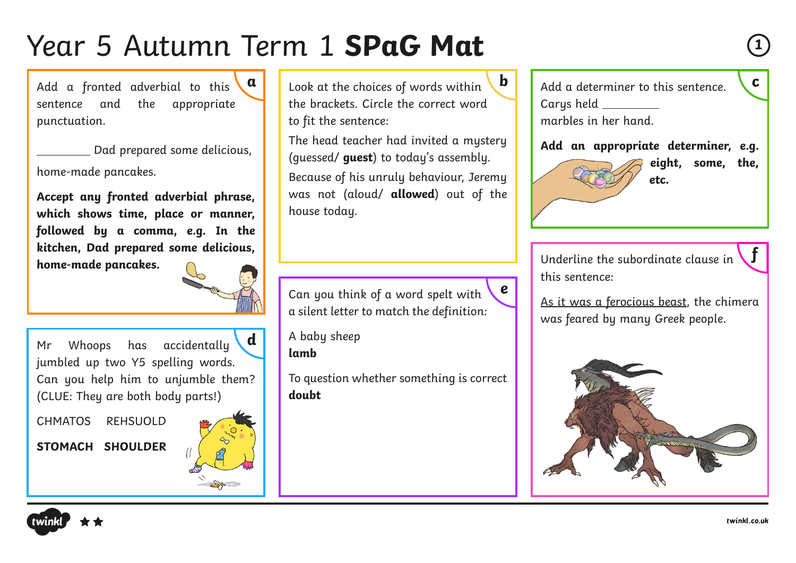Add a fronted adverbial to this  $\begin{bmatrix} \mathfrak{a} \end{bmatrix}$ sentence and the appropriate punctuation.

 Dad prepared some delicious, home-made pancakes.

**Accept any fronted adverbial phrase, which shows time, place or manner, followed by a comma, e.g. In the kitchen, Dad prepared some delicious, home-made pancakes.**

Mr Whoops has accidentally jumbled up two Y5 spelling words. Can you help him to unjumble them? (CLUE: They are both body parts!) **d**

CHMATOS REHSUOLD

**STOMACH SHOULDER**



Look at the choices of words within the brackets. Circle the correct word to fit the sentence:

The head teacher had invited a mystery (guessed/ **guest**) to today's assembly. Because of his unruly behaviour, Jeremy was not (aloud/ **allowed**) out of the house today.

Can you think of a word spelt with a silent letter to match the definition: **e**

A baby sheep **lamb**

To question whether something is correct **doubt**

**b** Add a determiner to this sentence. Carys held marbles in her hand.

**Add an appropriate determiner, e.g.** 

**eight, some, the, etc.**

Underline the subordinate clause in this sentence:

As it was a ferocious beast, the chimera was feared by many Greek people.





**f**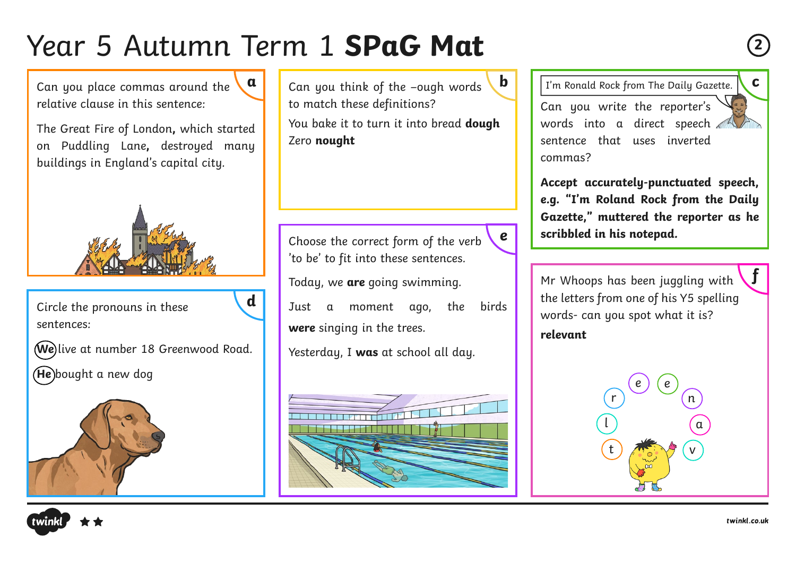**d**

Can you place commas around the relative clause in this sentence: **a**

The Great Fire of London**,** which started on Puddling Lane**,** destroyed many buildings in England's capital city.

Circle the pronouns in these sentences:

**We** live at number 18 Greenwood Road.

**He** bought a new dog



Can you think of the –ough words to match these definitions?

You bake it to turn it into bread **dough** Zero **nought**

Choose the correct form of the verb 'to be' to fit into these sentences.

**e**

Today, we **are** going swimming.

Just a moment ago, the birds **were** singing in the trees.

Yesterday, I **was** at school all day.



**b**  $\boxed{\phantom{a}}$   $\boxed{\phantom{a}}$   $\boxed{\phantom{a}}$   $\boxed{\phantom{a}}$   $\boxed{\phantom{a}}$   $\boxed{\phantom{a}}$   $\boxed{\phantom{a}}$   $\boxed{\phantom{a}}$   $\boxed{\phantom{a}}$   $\boxed{\phantom{a}}$   $\boxed{\phantom{a}}$   $\boxed{\phantom{a}}$   $\boxed{\phantom{a}}$   $\boxed{\phantom{a}}$   $\boxed{\phantom{a}}$   $\boxed{\phantom{a}}$   $\boxed{\phantom{a}}$   $\boxed{\phantom{a}}$   $\boxed{\phantom{a}}$   $\boxed{\phantom{a}}$ 

Can you write the reporter's words into a direct speech sentence that uses inverted commas?

**Accept accurately-punctuated speech, e.g. "I'm Roland Rock from the Daily Gazette," muttered the reporter as he scribbled in his notepad.**

Mr Whoops has been juggling with the letters from one of his Y5 spelling words- can you spot what it is? **relevant**





**f**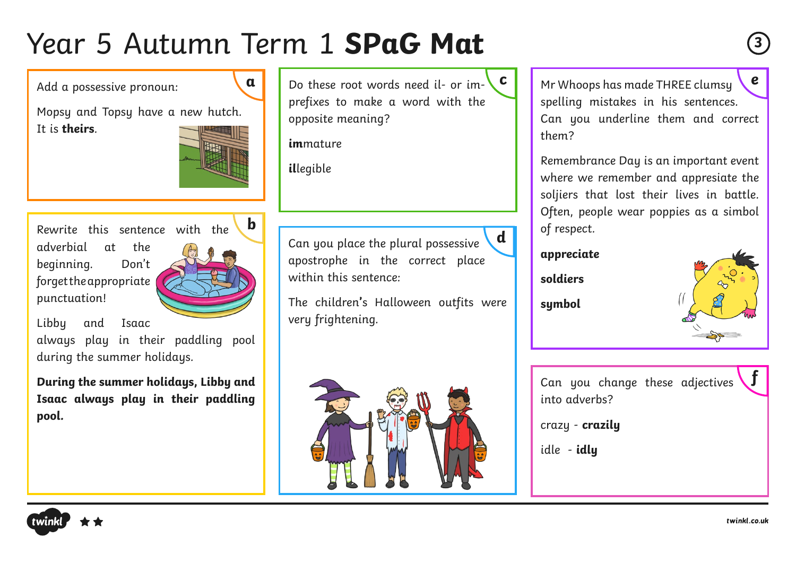Add a possessive pronoun:

**a**

Mopsy and Topsy have a new hutch. It is **theirs**.



Rewrite this sentence with the adverbial at the beginning. Don't forget the appropriate punctuation!

**b**

Libby and Isaac

always play in their paddling pool during the summer holidays.

**During the summer holidays, Libby and Isaac always play in their paddling pool.**

Do these root words need il- or imprefixes to make a word with the opposite meaning? **c**

**im**mature

**il**legible

Can you place the plural possessive apostrophe in the correct place within this sentence: **d**

The children**'**s Halloween outfits were very frightening.



Mr Whoops has made THREE clumsy spelling mistakes in his sentences. Can you underline them and correct them? **e**

Remembrance Day is an important event where we remember and appresiate the soljiers that lost their lives in battle. Often, people wear poppies as a simbol of respect.

#### **appreciate**

**soldiers**

**symbol**



Can you change these adjectives into adverbs? **f**

crazy - **crazily**

idle - **idly**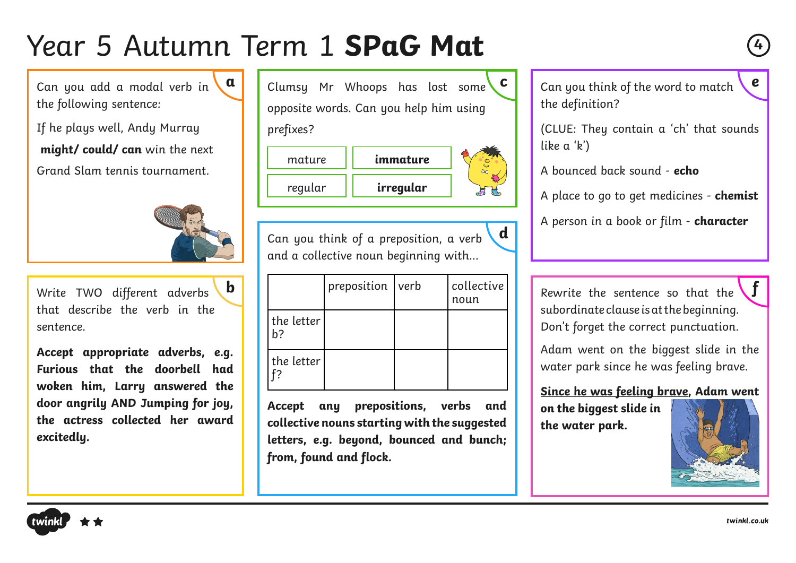Can you add a modal verb in the following sentence: **a**

If he plays well, Andy Murray **might/ could/ can** win the next Grand Slam tennis tournament.



Write TWO different adverbs that describe the verb in the sentence.

**Accept appropriate adverbs, e.g. Furious that the doorbell had woken him, Larry answered the door angrily AND Jumping for joy, the actress collected her award excitedly.**

Clumsy Mr Whoops has lost some opposite words. Can you help him using prefixes? **c**

| mature  | immature  |  |
|---------|-----------|--|
| regular | irregular |  |

Can you think of a preposition, a verb and a collective noun beginning with…

**d**

| $\mathbf b$ |                  | preposition verb |  | collective<br>noun                                                               |  | Rewrite the sentence so that the $\setminus J$                                  |
|-------------|------------------|------------------|--|----------------------------------------------------------------------------------|--|---------------------------------------------------------------------------------|
|             | the letter<br>b? |                  |  | subordinate clause is at the beginning.<br>Don't forget the correct punctuation. |  |                                                                                 |
| J.<br>d     | the letter       |                  |  |                                                                                  |  | Adam went on the biggest slide in the<br>water park since he was feeling brave. |
| e.          |                  |                  |  |                                                                                  |  | Since he was feeling braye, Adam went                                           |

**Accept any prepositions, verbs and collective nouns starting with the suggested letters, e.g. beyond, bounced and bunch; from, found and flock.**

Can you think of the word to match the definition? **e**

(CLUE: They contain a 'ch' that sounds like a 'k')

A bounced back sound - **echo**

A place to go to get medicines - **chemist**

A person in a book or film - **character**

**Since he was feeling brave, Adam went** 

**on the biggest slide in the water park.**



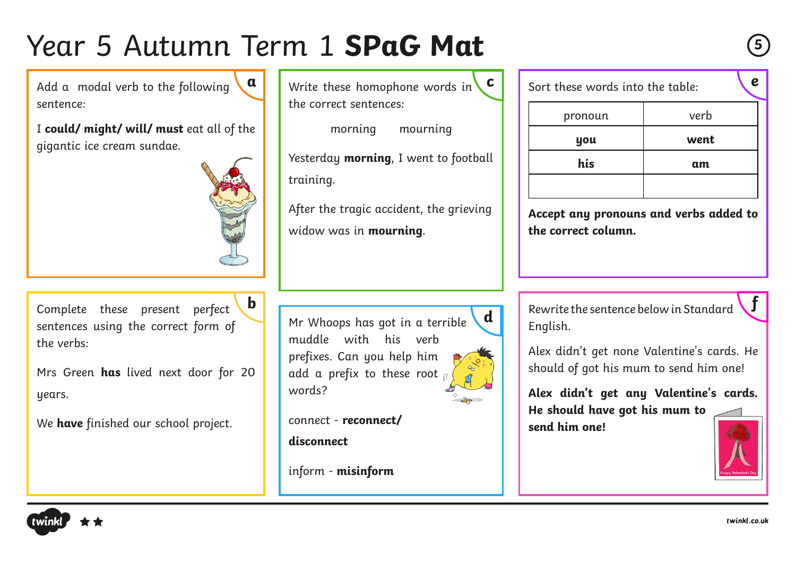Add a modal verb to the following sentence: **a**

I **could/ might/ will/ must** eat all of the gigantic ice cream sundae.



Complete these present perfect sentences using the correct form of the verbs:

Mrs Green **has** lived next door for 20 years.

We **have** finished our school project.

Write these homophone words in the correct sentences: **c**

morning mourning Yesterday **morning**, I went to football training.

After the tragic accident, the grieving widow was in **mourning**.

Mr Whoops has got in a terrible muddle with his verb prefixes. Can you help him add a prefix to these root words?

**d**

connect - **reconnect/ disconnect**

inform - **misinform**

| Sort these words into the table: |      |  |  |  |
|----------------------------------|------|--|--|--|
| pronoun                          | verb |  |  |  |
| you                              | went |  |  |  |
| his                              | am   |  |  |  |
|                                  |      |  |  |  |

**Accept any pronouns and verbs added to the correct column.**

**b f**  $\begin{bmatrix} 0 & 1 \end{bmatrix}$  **f** Rewrite the sentence below in Standard **f** English.

> Alex didn't get none Valentine's cards. He should of got his mum to send him one!

> **Alex didn't get any Valentine's cards. He should have got his mum to send him one!**